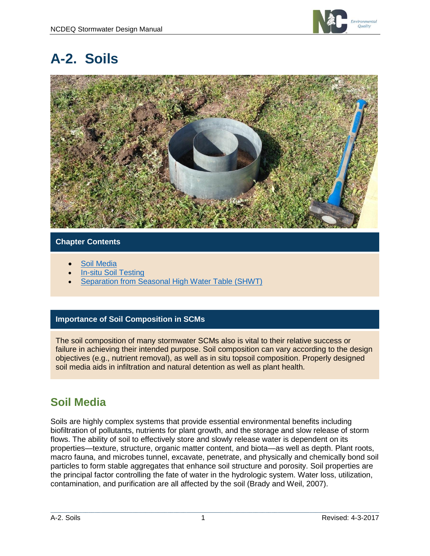

# **A-2. Soils**



### **Chapter Contents**

- [Soil Media](#page-0-0)
- [In-situ Soil Testing](#page-1-0)
- **[Separation from Seasonal High Water Table \(SHWT\)](#page-3-0)**

### **Importance of Soil Composition in SCMs**

The soil composition of many stormwater SCMs also is vital to their relative success or failure in achieving their intended purpose. Soil composition can vary according to the design objectives (e.g., nutrient removal), as well as in situ topsoil composition. Properly designed soil media aids in infiltration and natural detention as well as plant health.

### <span id="page-0-0"></span>**Soil Media**

Soils are highly complex systems that provide essential environmental benefits including biofiltration of pollutants, nutrients for plant growth, and the storage and slow release of storm flows. The ability of soil to effectively store and slowly release water is dependent on its properties—texture, structure, organic matter content, and biota—as well as depth. Plant roots, macro fauna, and microbes tunnel, excavate, penetrate, and physically and chemically bond soil particles to form stable aggregates that enhance soil structure and porosity. Soil properties are the principal factor controlling the fate of water in the hydrologic system. Water loss, utilization, contamination, and purification are all affected by the soil (Brady and Weil, 2007).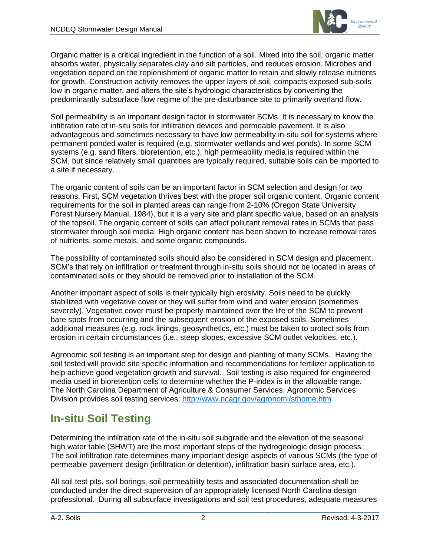

Organic matter is a critical ingredient in the function of a soil. Mixed into the soil, organic matter absorbs water, physically separates clay and silt particles, and reduces erosion. Microbes and vegetation depend on the replenishment of organic matter to retain and slowly release nutrients for growth. Construction activity removes the upper layers of soil, compacts exposed sub-soils low in organic matter, and alters the site's hydrologic characteristics by converting the predominantly subsurface flow regime of the pre-disturbance site to primarily overland flow.

Soil permeability is an important design factor in stormwater SCMs. It is necessary to know the infiltration rate of in-situ soils for infiltration devices and permeable pavement. It is also advantageous and sometimes necessary to have low permeability in-situ soil for systems where permanent ponded water is required (e.g. stormwater wetlands and wet ponds). In some SCM systems (e.g. sand filters, bioretention, etc.), high permeability media is required within the SCM, but since relatively small quantities are typically required, suitable soils can be imported to a site if necessary.

The organic content of soils can be an important factor in SCM selection and design for two reasons. First, SCM vegetation thrives best with the proper soil organic content. Organic content requirements for the soil in planted areas can range from 2-10% (Oregon State University Forest Nursery Manual, 1984), but it is a very site and plant specific value, based on an analysis of the topsoil. The organic content of soils can affect pollutant removal rates in SCMs that pass stormwater through soil media. High organic content has been shown to increase removal rates of nutrients, some metals, and some organic compounds.

The possibility of contaminated soils should also be considered in SCM design and placement. SCM's that rely on infiltration or treatment through in-situ soils should not be located in areas of contaminated soils or they should be removed prior to installation of the SCM.

Another important aspect of soils is their typically high erosivity. Soils need to be quickly stabilized with vegetative cover or they will suffer from wind and water erosion (sometimes severely). Vegetative cover must be properly maintained over the life of the SCM to prevent bare spots from occurring and the subsequent erosion of the exposed soils. Sometimes additional measures (e.g. rock linings, geosynthetics, etc.) must be taken to protect soils from erosion in certain circumstances (i.e., steep slopes, excessive SCM outlet velocities, etc.).

Agronomic soil testing is an important step for design and planting of many SCMs. Having the soil tested will provide site specific information and recommendations for fertilizer application to help achieve good vegetation growth and survival. Soil testing is also required for engineered media used in bioretention cells to determine whether the P-index is in the allowable range. The North Carolina Department of Agriculture & Consumer Services, Agronomic Services Division provides soil testing services:<http://www.ncagr.gov/agronomi/sthome.htm>

### <span id="page-1-0"></span>**In-situ Soil Testing**

Determining the infiltration rate of the in-situ soil subgrade and the elevation of the seasonal high water table (SHWT) are the most important steps of the hydrogeologic design process. The soil infiltration rate determines many important design aspects of various SCMs (the type of permeable pavement design (infiltration or detention), infiltration basin surface area, etc.).

All soil test pits, soil borings, soil permeability tests and associated documentation shall be conducted under the direct supervision of an appropriately licensed North Carolina design professional. During all subsurface investigations and soil test procedures, adequate measures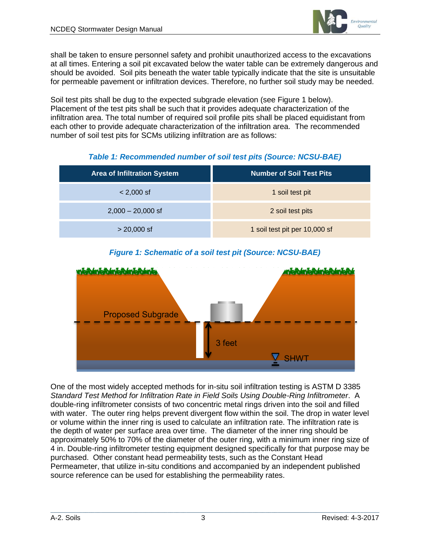

shall be taken to ensure personnel safety and prohibit unauthorized access to the excavations at all times. Entering a soil pit excavated below the water table can be extremely dangerous and should be avoided. Soil pits beneath the water table typically indicate that the site is unsuitable for permeable pavement or infiltration devices. Therefore, no further soil study may be needed.

Soil test pits shall be dug to the expected subgrade elevation (see Figure 1 below). Placement of the test pits shall be such that it provides adequate characterization of the infiltration area. The total number of required soil profile pits shall be placed equidistant from each other to provide adequate characterization of the infiltration area. The recommended number of soil test pits for SCMs utilizing infiltration are as follows:

#### *Table 1: Recommended number of soil test pits (Source: NCSU-BAE)*

| <b>Area of Infiltration System</b> | <b>Number of Soil Test Pits</b> |
|------------------------------------|---------------------------------|
| $< 2,000$ sf                       | 1 soil test pit                 |
| $2,000 - 20,000$ sf                | 2 soil test pits                |
| $> 20,000$ sf                      | 1 soil test pit per 10,000 sf   |

### *Figure 1: Schematic of a soil test pit (Source: NCSU-BAE)*



One of the most widely accepted methods for in-situ soil infiltration testing is ASTM D 3385 *Standard Test Method for Infiltration Rate in Field Soils Using Double-Ring Infiltrometer*. A double-ring infiltrometer consists of two concentric metal rings driven into the soil and filled with water. The outer ring helps prevent divergent flow within the soil. The drop in water level or volume within the inner ring is used to calculate an infiltration rate. The infiltration rate is the depth of water per surface area over time. The diameter of the inner ring should be approximately 50% to 70% of the diameter of the outer ring, with a minimum inner ring size of 4 in. Double-ring infiltrometer testing equipment designed specifically for that purpose may be purchased. Other constant head permeability tests, such as the Constant Head Permeameter, that utilize in-situ conditions and accompanied by an independent published source reference can be used for establishing the permeability rates.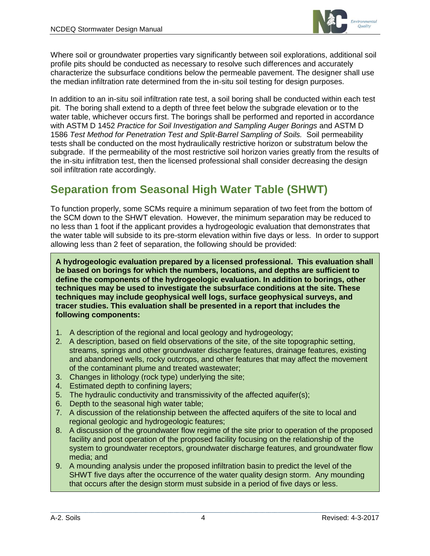

Where soil or groundwater properties vary significantly between soil explorations, additional soil profile pits should be conducted as necessary to resolve such differences and accurately characterize the subsurface conditions below the permeable pavement. The designer shall use the median infiltration rate determined from the in-situ soil testing for design purposes.

In addition to an in-situ soil infiltration rate test, a soil boring shall be conducted within each test pit. The boring shall extend to a depth of three feet below the subgrade elevation or to the water table, whichever occurs first. The borings shall be performed and reported in accordance with ASTM D 1452 *Practice for Soil Investigation and Sampling Auger Borings* and ASTM D 1586 *Test Method for Penetration Test and Split-Barrel Sampling of Soils.* Soil permeability tests shall be conducted on the most hydraulically restrictive horizon or substratum below the subgrade. If the permeability of the most restrictive soil horizon varies greatly from the results of the in-situ infiltration test, then the licensed professional shall consider decreasing the design soil infiltration rate accordingly.

## <span id="page-3-0"></span>**Separation from Seasonal High Water Table (SHWT)**

To function properly, some SCMs require a minimum separation of two feet from the bottom of the SCM down to the SHWT elevation. However, the minimum separation may be reduced to no less than 1 foot if the applicant provides a hydrogeologic evaluation that demonstrates that the water table will subside to its pre-storm elevation within five days or less. In order to support allowing less than 2 feet of separation, the following should be provided:

**A hydrogeologic evaluation prepared by a licensed professional. This evaluation shall be based on borings for which the numbers, locations, and depths are sufficient to define the components of the hydrogeologic evaluation. In addition to borings, other techniques may be used to investigate the subsurface conditions at the site. These techniques may include geophysical well logs, surface geophysical surveys, and tracer studies. This evaluation shall be presented in a report that includes the following components:**

- 1. A description of the regional and local geology and hydrogeology;
- 2. A description, based on field observations of the site, of the site topographic setting, streams, springs and other groundwater discharge features, drainage features, existing and abandoned wells, rocky outcrops, and other features that may affect the movement of the contaminant plume and treated wastewater;
- 3. Changes in lithology (rock type) underlying the site;
- 4. Estimated depth to confining layers;
- 5. The hydraulic conductivity and transmissivity of the affected aquifer(s);
- 6. Depth to the seasonal high water table;
- 7. A discussion of the relationship between the affected aquifers of the site to local and regional geologic and hydrogeologic features;
- 8. A discussion of the groundwater flow regime of the site prior to operation of the proposed facility and post operation of the proposed facility focusing on the relationship of the system to groundwater receptors, groundwater discharge features, and groundwater flow media; and
- 9. A mounding analysis under the proposed infiltration basin to predict the level of the SHWT five days after the occurrence of the water quality design storm. Any mounding that occurs after the design storm must subside in a period of five days or less.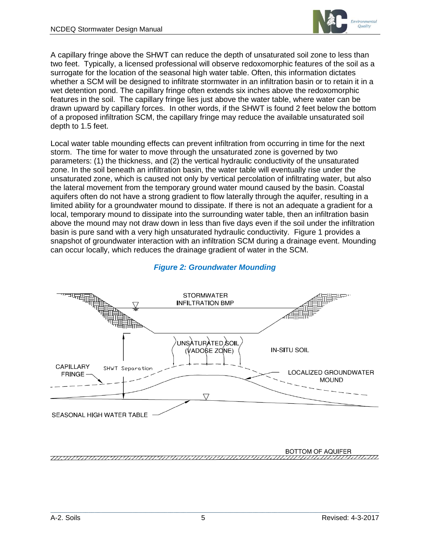

A capillary fringe above the SHWT can reduce the depth of unsaturated soil zone to less than two feet. Typically, a licensed professional will observe redoxomorphic features of the soil as a surrogate for the location of the seasonal high water table. Often, this information dictates whether a SCM will be designed to infiltrate stormwater in an infiltration basin or to retain it in a wet detention pond. The capillary fringe often extends six inches above the redoxomorphic features in the soil. The capillary fringe lies just above the water table, where water can be drawn upward by capillary forces. In other words, if the SHWT is found 2 feet below the bottom of a proposed infiltration SCM, the capillary fringe may reduce the available unsaturated soil depth to 1.5 feet.

Local water table mounding effects can prevent infiltration from occurring in time for the next storm. The time for water to move through the unsaturated zone is governed by two parameters: (1) the thickness, and (2) the vertical hydraulic conductivity of the unsaturated zone. In the soil beneath an infiltration basin, the water table will eventually rise under the unsaturated zone, which is caused not only by vertical percolation of infiltrating water, but also the lateral movement from the temporary ground water mound caused by the basin. Coastal aquifers often do not have a strong gradient to flow laterally through the aquifer, resulting in a limited ability for a groundwater mound to dissipate. If there is not an adequate a gradient for a local, temporary mound to dissipate into the surrounding water table, then an infiltration basin above the mound may not draw down in less than five days even if the soil under the infiltration basin is pure sand with a very high unsaturated hydraulic conductivity. Figure 1 provides a snapshot of groundwater interaction with an infiltration SCM during a drainage event. Mounding can occur locally, which reduces the drainage gradient of water in the SCM.



#### *Figure 2: Groundwater Mounding*

BOTTOM OF AQUIFER